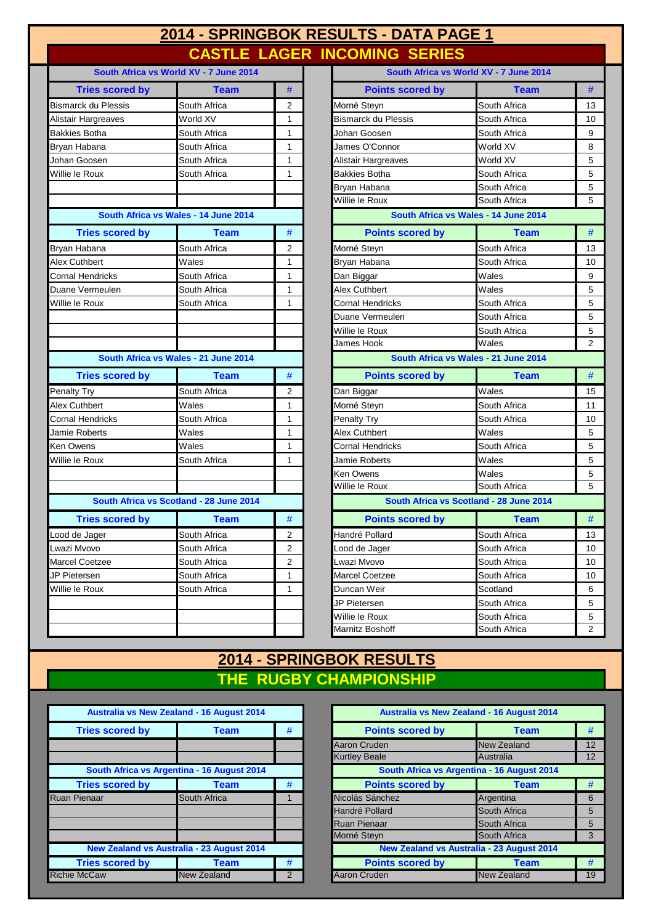| <b>CASTLE LAGER INCOMING SERIES</b><br>South Africa vs World XV - 7 June 2014<br>South Africa vs World XV - 7 June 2014<br><b>Tries scored by</b><br>Team<br>#<br><b>Points scored by</b><br><b>Team</b><br><b>Bismarck du Plessis</b><br>South Africa<br>2<br>Morné Steyn<br>South Africa<br>World XV<br><b>Bismarck du Plessis</b><br>South Africa<br><b>Alistair Hargreaves</b><br>$\mathbf{1}$<br><b>Bakkies Botha</b><br>South Africa<br>Johan Goosen<br>South Africa<br>1<br>James O'Connor<br>Bryan Habana<br>South Africa<br>World XV<br>$\mathbf{1}$<br>World XV<br>Johan Goosen<br>South Africa<br>$\mathbf{1}$<br>Alistair Hargreaves<br>Willie le Roux<br>South Africa<br>1<br><b>Bakkies Botha</b><br>South Africa<br>Bryan Habana<br>South Africa<br>Willie le Roux<br>South Africa<br>South Africa vs Wales - 14 June 2014<br>South Africa vs Wales - 14 June 2014<br><b>Points scored by</b><br><b>Tries scored by</b><br><b>Team</b><br>#<br><b>Team</b><br>South Africa<br>South Africa<br>Bryan Habana<br>2<br>Morné Steyn<br>Wales<br>South Africa<br>Alex Cuthbert<br>$\mathbf{1}$<br>Bryan Habana<br>Cornal Hendricks<br>South Africa<br>Wales<br>1<br>Dan Biggar<br>Duane Vermeulen<br>South Africa<br><b>Alex Cuthbert</b><br>Wales<br>$\mathbf{1}$<br>Willie le Roux<br><b>Cornal Hendricks</b><br>South Africa<br>South Africa<br>$\mathbf{1}$<br>Duane Vermeulen<br>South Africa<br>Willie le Roux<br>South Africa<br>Wales<br>James Hook<br>South Africa vs Wales - 21 June 2014<br>South Africa vs Wales - 21 June 2014<br>#<br><b>Tries scored by</b><br><b>Team</b><br><b>Points scored by</b><br><b>Team</b><br>South Africa<br>Wales<br>Penalty Try<br>2<br>Dan Biggar<br>Alex Cuthbert<br>Wales<br>1<br>South Africa<br>Morné Steyn<br>Cornal Hendricks<br>South Africa<br>South Africa<br>$\mathbf{1}$<br>Penalty Try<br>Jamie Roberts<br>Wales<br><b>Alex Cuthbert</b><br>Wales<br>1<br><b>Cornal Hendricks</b><br>Ken Owens<br>Wales<br>$\mathbf{1}$<br>South Africa<br>Willie le Roux<br>South Africa<br>Jamie Roberts<br>Wales<br>1<br>Ken Owens<br>Wales<br>Willie le Roux<br>South Africa<br>South Africa vs Scotland - 28 June 2014<br>South Africa vs Scotland - 28 June 2014<br><b>Tries scored by</b><br>Team<br>#<br><b>Points scored by</b><br>Team<br>South Africa<br>$\overline{2}$<br>Handré Pollard<br>South Africa<br>Lood de Jager<br>$\overline{2}$<br>Lwazi Mvovo<br>South Africa<br>Lood de Jager<br>South Africa<br>$\overline{2}$<br>Lwazi Mvovo<br>Marcel Coetzee<br>South Africa<br>South Africa<br>1<br>Marcel Coetzee<br>JP Pietersen<br>South Africa<br>South Africa<br>Willie le Roux<br>South Africa<br>$\mathbf{1}$<br>Duncan Weir<br>Scotland<br>JP Pietersen<br>South Africa<br>Willie le Roux<br>South Africa<br>Marnitz Boshoff<br>South Africa |  | 2014 - SPRINGBOK RESULTS - DATA PAGE 1 |                |
|-----------------------------------------------------------------------------------------------------------------------------------------------------------------------------------------------------------------------------------------------------------------------------------------------------------------------------------------------------------------------------------------------------------------------------------------------------------------------------------------------------------------------------------------------------------------------------------------------------------------------------------------------------------------------------------------------------------------------------------------------------------------------------------------------------------------------------------------------------------------------------------------------------------------------------------------------------------------------------------------------------------------------------------------------------------------------------------------------------------------------------------------------------------------------------------------------------------------------------------------------------------------------------------------------------------------------------------------------------------------------------------------------------------------------------------------------------------------------------------------------------------------------------------------------------------------------------------------------------------------------------------------------------------------------------------------------------------------------------------------------------------------------------------------------------------------------------------------------------------------------------------------------------------------------------------------------------------------------------------------------------------------------------------------------------------------------------------------------------------------------------------------------------------------------------------------------------------------------------------------------------------------------------------------------------------------------------------------------------------------------------------------------------------------------------------------------------------------------------------------------------------------------------------------------------------------------------------------------------------------------------------------------------------------------------------------------------------------------------------------------------------------------------------------------------------------------|--|----------------------------------------|----------------|
|                                                                                                                                                                                                                                                                                                                                                                                                                                                                                                                                                                                                                                                                                                                                                                                                                                                                                                                                                                                                                                                                                                                                                                                                                                                                                                                                                                                                                                                                                                                                                                                                                                                                                                                                                                                                                                                                                                                                                                                                                                                                                                                                                                                                                                                                                                                                                                                                                                                                                                                                                                                                                                                                                                                                                                                                                       |  |                                        |                |
|                                                                                                                                                                                                                                                                                                                                                                                                                                                                                                                                                                                                                                                                                                                                                                                                                                                                                                                                                                                                                                                                                                                                                                                                                                                                                                                                                                                                                                                                                                                                                                                                                                                                                                                                                                                                                                                                                                                                                                                                                                                                                                                                                                                                                                                                                                                                                                                                                                                                                                                                                                                                                                                                                                                                                                                                                       |  |                                        |                |
|                                                                                                                                                                                                                                                                                                                                                                                                                                                                                                                                                                                                                                                                                                                                                                                                                                                                                                                                                                                                                                                                                                                                                                                                                                                                                                                                                                                                                                                                                                                                                                                                                                                                                                                                                                                                                                                                                                                                                                                                                                                                                                                                                                                                                                                                                                                                                                                                                                                                                                                                                                                                                                                                                                                                                                                                                       |  |                                        | #              |
|                                                                                                                                                                                                                                                                                                                                                                                                                                                                                                                                                                                                                                                                                                                                                                                                                                                                                                                                                                                                                                                                                                                                                                                                                                                                                                                                                                                                                                                                                                                                                                                                                                                                                                                                                                                                                                                                                                                                                                                                                                                                                                                                                                                                                                                                                                                                                                                                                                                                                                                                                                                                                                                                                                                                                                                                                       |  |                                        | 13             |
|                                                                                                                                                                                                                                                                                                                                                                                                                                                                                                                                                                                                                                                                                                                                                                                                                                                                                                                                                                                                                                                                                                                                                                                                                                                                                                                                                                                                                                                                                                                                                                                                                                                                                                                                                                                                                                                                                                                                                                                                                                                                                                                                                                                                                                                                                                                                                                                                                                                                                                                                                                                                                                                                                                                                                                                                                       |  |                                        | 10             |
|                                                                                                                                                                                                                                                                                                                                                                                                                                                                                                                                                                                                                                                                                                                                                                                                                                                                                                                                                                                                                                                                                                                                                                                                                                                                                                                                                                                                                                                                                                                                                                                                                                                                                                                                                                                                                                                                                                                                                                                                                                                                                                                                                                                                                                                                                                                                                                                                                                                                                                                                                                                                                                                                                                                                                                                                                       |  |                                        | 9              |
|                                                                                                                                                                                                                                                                                                                                                                                                                                                                                                                                                                                                                                                                                                                                                                                                                                                                                                                                                                                                                                                                                                                                                                                                                                                                                                                                                                                                                                                                                                                                                                                                                                                                                                                                                                                                                                                                                                                                                                                                                                                                                                                                                                                                                                                                                                                                                                                                                                                                                                                                                                                                                                                                                                                                                                                                                       |  |                                        | 8              |
|                                                                                                                                                                                                                                                                                                                                                                                                                                                                                                                                                                                                                                                                                                                                                                                                                                                                                                                                                                                                                                                                                                                                                                                                                                                                                                                                                                                                                                                                                                                                                                                                                                                                                                                                                                                                                                                                                                                                                                                                                                                                                                                                                                                                                                                                                                                                                                                                                                                                                                                                                                                                                                                                                                                                                                                                                       |  |                                        | 5              |
|                                                                                                                                                                                                                                                                                                                                                                                                                                                                                                                                                                                                                                                                                                                                                                                                                                                                                                                                                                                                                                                                                                                                                                                                                                                                                                                                                                                                                                                                                                                                                                                                                                                                                                                                                                                                                                                                                                                                                                                                                                                                                                                                                                                                                                                                                                                                                                                                                                                                                                                                                                                                                                                                                                                                                                                                                       |  |                                        | 5              |
|                                                                                                                                                                                                                                                                                                                                                                                                                                                                                                                                                                                                                                                                                                                                                                                                                                                                                                                                                                                                                                                                                                                                                                                                                                                                                                                                                                                                                                                                                                                                                                                                                                                                                                                                                                                                                                                                                                                                                                                                                                                                                                                                                                                                                                                                                                                                                                                                                                                                                                                                                                                                                                                                                                                                                                                                                       |  |                                        | 5              |
|                                                                                                                                                                                                                                                                                                                                                                                                                                                                                                                                                                                                                                                                                                                                                                                                                                                                                                                                                                                                                                                                                                                                                                                                                                                                                                                                                                                                                                                                                                                                                                                                                                                                                                                                                                                                                                                                                                                                                                                                                                                                                                                                                                                                                                                                                                                                                                                                                                                                                                                                                                                                                                                                                                                                                                                                                       |  |                                        | 5              |
|                                                                                                                                                                                                                                                                                                                                                                                                                                                                                                                                                                                                                                                                                                                                                                                                                                                                                                                                                                                                                                                                                                                                                                                                                                                                                                                                                                                                                                                                                                                                                                                                                                                                                                                                                                                                                                                                                                                                                                                                                                                                                                                                                                                                                                                                                                                                                                                                                                                                                                                                                                                                                                                                                                                                                                                                                       |  |                                        |                |
|                                                                                                                                                                                                                                                                                                                                                                                                                                                                                                                                                                                                                                                                                                                                                                                                                                                                                                                                                                                                                                                                                                                                                                                                                                                                                                                                                                                                                                                                                                                                                                                                                                                                                                                                                                                                                                                                                                                                                                                                                                                                                                                                                                                                                                                                                                                                                                                                                                                                                                                                                                                                                                                                                                                                                                                                                       |  |                                        | $\#$           |
|                                                                                                                                                                                                                                                                                                                                                                                                                                                                                                                                                                                                                                                                                                                                                                                                                                                                                                                                                                                                                                                                                                                                                                                                                                                                                                                                                                                                                                                                                                                                                                                                                                                                                                                                                                                                                                                                                                                                                                                                                                                                                                                                                                                                                                                                                                                                                                                                                                                                                                                                                                                                                                                                                                                                                                                                                       |  |                                        | 13             |
|                                                                                                                                                                                                                                                                                                                                                                                                                                                                                                                                                                                                                                                                                                                                                                                                                                                                                                                                                                                                                                                                                                                                                                                                                                                                                                                                                                                                                                                                                                                                                                                                                                                                                                                                                                                                                                                                                                                                                                                                                                                                                                                                                                                                                                                                                                                                                                                                                                                                                                                                                                                                                                                                                                                                                                                                                       |  |                                        | 10             |
|                                                                                                                                                                                                                                                                                                                                                                                                                                                                                                                                                                                                                                                                                                                                                                                                                                                                                                                                                                                                                                                                                                                                                                                                                                                                                                                                                                                                                                                                                                                                                                                                                                                                                                                                                                                                                                                                                                                                                                                                                                                                                                                                                                                                                                                                                                                                                                                                                                                                                                                                                                                                                                                                                                                                                                                                                       |  |                                        | 9              |
|                                                                                                                                                                                                                                                                                                                                                                                                                                                                                                                                                                                                                                                                                                                                                                                                                                                                                                                                                                                                                                                                                                                                                                                                                                                                                                                                                                                                                                                                                                                                                                                                                                                                                                                                                                                                                                                                                                                                                                                                                                                                                                                                                                                                                                                                                                                                                                                                                                                                                                                                                                                                                                                                                                                                                                                                                       |  |                                        | 5              |
|                                                                                                                                                                                                                                                                                                                                                                                                                                                                                                                                                                                                                                                                                                                                                                                                                                                                                                                                                                                                                                                                                                                                                                                                                                                                                                                                                                                                                                                                                                                                                                                                                                                                                                                                                                                                                                                                                                                                                                                                                                                                                                                                                                                                                                                                                                                                                                                                                                                                                                                                                                                                                                                                                                                                                                                                                       |  |                                        | $\mathbf 5$    |
|                                                                                                                                                                                                                                                                                                                                                                                                                                                                                                                                                                                                                                                                                                                                                                                                                                                                                                                                                                                                                                                                                                                                                                                                                                                                                                                                                                                                                                                                                                                                                                                                                                                                                                                                                                                                                                                                                                                                                                                                                                                                                                                                                                                                                                                                                                                                                                                                                                                                                                                                                                                                                                                                                                                                                                                                                       |  |                                        | 5              |
|                                                                                                                                                                                                                                                                                                                                                                                                                                                                                                                                                                                                                                                                                                                                                                                                                                                                                                                                                                                                                                                                                                                                                                                                                                                                                                                                                                                                                                                                                                                                                                                                                                                                                                                                                                                                                                                                                                                                                                                                                                                                                                                                                                                                                                                                                                                                                                                                                                                                                                                                                                                                                                                                                                                                                                                                                       |  |                                        | $\overline{5}$ |
|                                                                                                                                                                                                                                                                                                                                                                                                                                                                                                                                                                                                                                                                                                                                                                                                                                                                                                                                                                                                                                                                                                                                                                                                                                                                                                                                                                                                                                                                                                                                                                                                                                                                                                                                                                                                                                                                                                                                                                                                                                                                                                                                                                                                                                                                                                                                                                                                                                                                                                                                                                                                                                                                                                                                                                                                                       |  |                                        | $\overline{2}$ |
|                                                                                                                                                                                                                                                                                                                                                                                                                                                                                                                                                                                                                                                                                                                                                                                                                                                                                                                                                                                                                                                                                                                                                                                                                                                                                                                                                                                                                                                                                                                                                                                                                                                                                                                                                                                                                                                                                                                                                                                                                                                                                                                                                                                                                                                                                                                                                                                                                                                                                                                                                                                                                                                                                                                                                                                                                       |  |                                        |                |
|                                                                                                                                                                                                                                                                                                                                                                                                                                                                                                                                                                                                                                                                                                                                                                                                                                                                                                                                                                                                                                                                                                                                                                                                                                                                                                                                                                                                                                                                                                                                                                                                                                                                                                                                                                                                                                                                                                                                                                                                                                                                                                                                                                                                                                                                                                                                                                                                                                                                                                                                                                                                                                                                                                                                                                                                                       |  |                                        | $\#$           |
|                                                                                                                                                                                                                                                                                                                                                                                                                                                                                                                                                                                                                                                                                                                                                                                                                                                                                                                                                                                                                                                                                                                                                                                                                                                                                                                                                                                                                                                                                                                                                                                                                                                                                                                                                                                                                                                                                                                                                                                                                                                                                                                                                                                                                                                                                                                                                                                                                                                                                                                                                                                                                                                                                                                                                                                                                       |  |                                        | 15             |
|                                                                                                                                                                                                                                                                                                                                                                                                                                                                                                                                                                                                                                                                                                                                                                                                                                                                                                                                                                                                                                                                                                                                                                                                                                                                                                                                                                                                                                                                                                                                                                                                                                                                                                                                                                                                                                                                                                                                                                                                                                                                                                                                                                                                                                                                                                                                                                                                                                                                                                                                                                                                                                                                                                                                                                                                                       |  |                                        | 11             |
|                                                                                                                                                                                                                                                                                                                                                                                                                                                                                                                                                                                                                                                                                                                                                                                                                                                                                                                                                                                                                                                                                                                                                                                                                                                                                                                                                                                                                                                                                                                                                                                                                                                                                                                                                                                                                                                                                                                                                                                                                                                                                                                                                                                                                                                                                                                                                                                                                                                                                                                                                                                                                                                                                                                                                                                                                       |  |                                        | 10             |
|                                                                                                                                                                                                                                                                                                                                                                                                                                                                                                                                                                                                                                                                                                                                                                                                                                                                                                                                                                                                                                                                                                                                                                                                                                                                                                                                                                                                                                                                                                                                                                                                                                                                                                                                                                                                                                                                                                                                                                                                                                                                                                                                                                                                                                                                                                                                                                                                                                                                                                                                                                                                                                                                                                                                                                                                                       |  |                                        | 5              |
|                                                                                                                                                                                                                                                                                                                                                                                                                                                                                                                                                                                                                                                                                                                                                                                                                                                                                                                                                                                                                                                                                                                                                                                                                                                                                                                                                                                                                                                                                                                                                                                                                                                                                                                                                                                                                                                                                                                                                                                                                                                                                                                                                                                                                                                                                                                                                                                                                                                                                                                                                                                                                                                                                                                                                                                                                       |  |                                        | 5              |
|                                                                                                                                                                                                                                                                                                                                                                                                                                                                                                                                                                                                                                                                                                                                                                                                                                                                                                                                                                                                                                                                                                                                                                                                                                                                                                                                                                                                                                                                                                                                                                                                                                                                                                                                                                                                                                                                                                                                                                                                                                                                                                                                                                                                                                                                                                                                                                                                                                                                                                                                                                                                                                                                                                                                                                                                                       |  |                                        | 5              |
|                                                                                                                                                                                                                                                                                                                                                                                                                                                                                                                                                                                                                                                                                                                                                                                                                                                                                                                                                                                                                                                                                                                                                                                                                                                                                                                                                                                                                                                                                                                                                                                                                                                                                                                                                                                                                                                                                                                                                                                                                                                                                                                                                                                                                                                                                                                                                                                                                                                                                                                                                                                                                                                                                                                                                                                                                       |  |                                        | 5              |
|                                                                                                                                                                                                                                                                                                                                                                                                                                                                                                                                                                                                                                                                                                                                                                                                                                                                                                                                                                                                                                                                                                                                                                                                                                                                                                                                                                                                                                                                                                                                                                                                                                                                                                                                                                                                                                                                                                                                                                                                                                                                                                                                                                                                                                                                                                                                                                                                                                                                                                                                                                                                                                                                                                                                                                                                                       |  |                                        | 5              |
|                                                                                                                                                                                                                                                                                                                                                                                                                                                                                                                                                                                                                                                                                                                                                                                                                                                                                                                                                                                                                                                                                                                                                                                                                                                                                                                                                                                                                                                                                                                                                                                                                                                                                                                                                                                                                                                                                                                                                                                                                                                                                                                                                                                                                                                                                                                                                                                                                                                                                                                                                                                                                                                                                                                                                                                                                       |  |                                        |                |
|                                                                                                                                                                                                                                                                                                                                                                                                                                                                                                                                                                                                                                                                                                                                                                                                                                                                                                                                                                                                                                                                                                                                                                                                                                                                                                                                                                                                                                                                                                                                                                                                                                                                                                                                                                                                                                                                                                                                                                                                                                                                                                                                                                                                                                                                                                                                                                                                                                                                                                                                                                                                                                                                                                                                                                                                                       |  |                                        | #              |
|                                                                                                                                                                                                                                                                                                                                                                                                                                                                                                                                                                                                                                                                                                                                                                                                                                                                                                                                                                                                                                                                                                                                                                                                                                                                                                                                                                                                                                                                                                                                                                                                                                                                                                                                                                                                                                                                                                                                                                                                                                                                                                                                                                                                                                                                                                                                                                                                                                                                                                                                                                                                                                                                                                                                                                                                                       |  |                                        | 13             |
|                                                                                                                                                                                                                                                                                                                                                                                                                                                                                                                                                                                                                                                                                                                                                                                                                                                                                                                                                                                                                                                                                                                                                                                                                                                                                                                                                                                                                                                                                                                                                                                                                                                                                                                                                                                                                                                                                                                                                                                                                                                                                                                                                                                                                                                                                                                                                                                                                                                                                                                                                                                                                                                                                                                                                                                                                       |  |                                        | 10             |
|                                                                                                                                                                                                                                                                                                                                                                                                                                                                                                                                                                                                                                                                                                                                                                                                                                                                                                                                                                                                                                                                                                                                                                                                                                                                                                                                                                                                                                                                                                                                                                                                                                                                                                                                                                                                                                                                                                                                                                                                                                                                                                                                                                                                                                                                                                                                                                                                                                                                                                                                                                                                                                                                                                                                                                                                                       |  |                                        | 10             |
|                                                                                                                                                                                                                                                                                                                                                                                                                                                                                                                                                                                                                                                                                                                                                                                                                                                                                                                                                                                                                                                                                                                                                                                                                                                                                                                                                                                                                                                                                                                                                                                                                                                                                                                                                                                                                                                                                                                                                                                                                                                                                                                                                                                                                                                                                                                                                                                                                                                                                                                                                                                                                                                                                                                                                                                                                       |  |                                        | 10             |
|                                                                                                                                                                                                                                                                                                                                                                                                                                                                                                                                                                                                                                                                                                                                                                                                                                                                                                                                                                                                                                                                                                                                                                                                                                                                                                                                                                                                                                                                                                                                                                                                                                                                                                                                                                                                                                                                                                                                                                                                                                                                                                                                                                                                                                                                                                                                                                                                                                                                                                                                                                                                                                                                                                                                                                                                                       |  |                                        | 6              |
|                                                                                                                                                                                                                                                                                                                                                                                                                                                                                                                                                                                                                                                                                                                                                                                                                                                                                                                                                                                                                                                                                                                                                                                                                                                                                                                                                                                                                                                                                                                                                                                                                                                                                                                                                                                                                                                                                                                                                                                                                                                                                                                                                                                                                                                                                                                                                                                                                                                                                                                                                                                                                                                                                                                                                                                                                       |  |                                        | 5              |
|                                                                                                                                                                                                                                                                                                                                                                                                                                                                                                                                                                                                                                                                                                                                                                                                                                                                                                                                                                                                                                                                                                                                                                                                                                                                                                                                                                                                                                                                                                                                                                                                                                                                                                                                                                                                                                                                                                                                                                                                                                                                                                                                                                                                                                                                                                                                                                                                                                                                                                                                                                                                                                                                                                                                                                                                                       |  |                                        | $\,$ 5 $\,$    |
|                                                                                                                                                                                                                                                                                                                                                                                                                                                                                                                                                                                                                                                                                                                                                                                                                                                                                                                                                                                                                                                                                                                                                                                                                                                                                                                                                                                                                                                                                                                                                                                                                                                                                                                                                                                                                                                                                                                                                                                                                                                                                                                                                                                                                                                                                                                                                                                                                                                                                                                                                                                                                                                                                                                                                                                                                       |  |                                        | 2              |

# **2014 - SPRINGBOK RESULTS THE RUGBY CHAMPIONSHIP**

| <b>Australia vs New Zealand - 16 August 2014</b> |                    |               |  |  |
|--------------------------------------------------|--------------------|---------------|--|--|
| <b>Tries scored by</b>                           | <b>Team</b>        | #             |  |  |
|                                                  |                    |               |  |  |
|                                                  |                    |               |  |  |
| South Africa vs Argentina - 16 August 2014       |                    |               |  |  |
| <b>Tries scored by</b>                           | <b>Team</b>        | #             |  |  |
| Ruan Pienaar                                     | South Africa       | 1             |  |  |
|                                                  |                    |               |  |  |
|                                                  |                    |               |  |  |
|                                                  |                    |               |  |  |
| <b>New Zealand vs Australia - 23 August 2014</b> |                    |               |  |  |
| <b>Tries scored by</b>                           | <b>Team</b>        | #             |  |  |
| <b>Richie McCaw</b>                              | <b>New Zealand</b> | $\mathcal{P}$ |  |  |

| Australia vs New Zealand - 16 August 2014  |                    |   | <b>Australia vs New Zealand - 16 August 2014</b> |                    |    |
|--------------------------------------------|--------------------|---|--------------------------------------------------|--------------------|----|
| <b>Tries scored by</b>                     | Team               | # | <b>Points scored by</b>                          | <b>Team</b>        | #  |
|                                            |                    |   | Aaron Cruden                                     | <b>New Zealand</b> | 12 |
|                                            |                    |   | <b>Kurtley Beale</b>                             | <b>Australia</b>   | 12 |
| South Africa vs Argentina - 16 August 2014 |                    |   | South Africa vs Argentina - 16 August 2014       |                    |    |
| <b>Tries scored by</b>                     | <b>Team</b>        | # | <b>Points scored by</b>                          | <b>Team</b>        | #  |
| Ruan Pienaar                               | South Africa       |   | Nicolás Sánchez                                  | Argentina          | 6  |
|                                            |                    |   | Handré Pollard                                   | South Africa       | 5  |
|                                            |                    |   | Ruan Pienaar                                     | South Africa       | 5  |
|                                            |                    |   | Morné Steyn                                      | South Africa       | 3  |
| New Zealand vs Australia - 23 August 2014  |                    |   | New Zealand vs Australia - 23 August 2014        |                    |    |
| <b>Tries scored by</b>                     | <b>Team</b>        | # | <b>Points scored by</b>                          | <b>Team</b>        | #  |
| <b>Richie McCaw</b>                        | <b>New Zealand</b> | 2 | Aaron Cruden                                     | <b>New Zealand</b> | 19 |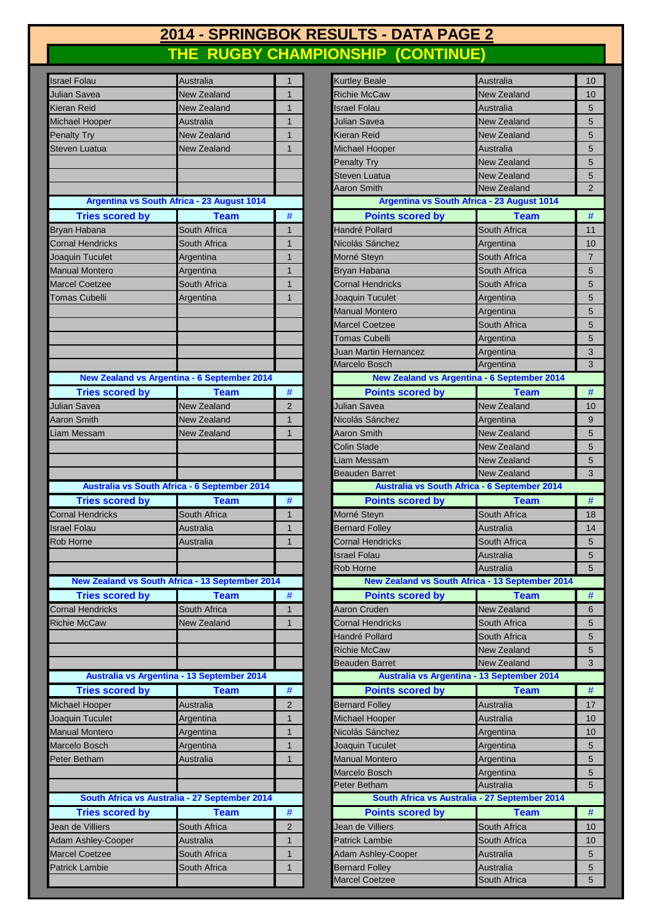## **2014 - SPRINGBOK RESULTS - DATA PAGE 2 THE RUGBY CHAMPIONSHIP (CONTINUE)**

| <b>Israel Folau</b>                             | Australia                                     | 1              |
|-------------------------------------------------|-----------------------------------------------|----------------|
| Julian Savea                                    | <b>New Zealand</b>                            | 1              |
| Kieran Reid                                     | <b>New Zealand</b>                            | 1              |
| Michael Hooper                                  | Australia                                     | 1              |
| <b>Penalty Try</b>                              | <b>New Zealand</b>                            | 1              |
| <b>Steven Luatua</b>                            | <b>New Zealand</b>                            | 1              |
|                                                 |                                               |                |
|                                                 |                                               |                |
|                                                 |                                               |                |
|                                                 | Argentina vs South Africa - 23 August 1014    |                |
| <b>Tries scored by</b>                          | <b>Team</b>                                   | #              |
| Bryan Habana                                    | South Africa                                  | 1              |
| <b>Cornal Hendricks</b>                         | South Africa                                  | 1              |
| Joaquin Tuculet                                 | Argentina                                     | 1              |
| <b>Manual Montero</b>                           | Argentina                                     | 1              |
| <b>Marcel Coetzee</b>                           | South Africa                                  | 1              |
| <b>Tomas Cubelli</b>                            | Argentina                                     | 1              |
|                                                 |                                               |                |
|                                                 |                                               |                |
|                                                 |                                               |                |
|                                                 |                                               |                |
|                                                 |                                               |                |
|                                                 | New Zealand vs Argentina - 6 September 2014   |                |
| <b>Tries scored by</b>                          | <b>Team</b>                                   | #              |
| Julian Savea                                    | <b>New Zealand</b>                            | 2              |
| <b>Aaron Smith</b>                              | <b>New Zealand</b>                            | 1              |
| Liam Messam                                     | New Zealand                                   | 1              |
|                                                 |                                               |                |
|                                                 |                                               |                |
|                                                 |                                               |                |
|                                                 |                                               |                |
|                                                 | Australia vs South Africa - 6 September 2014  |                |
| <b>Tries scored by</b>                          | <b>Team</b>                                   | #              |
| <b>Cornal Hendricks</b>                         | South Africa                                  | 1              |
| <b>Israel Folau</b>                             | Australia                                     | 1              |
| Rob Horne                                       | Australia                                     | $\overline{1}$ |
|                                                 |                                               |                |
|                                                 |                                               |                |
| New Zealand vs South Africa - 13 September 2014 |                                               |                |
| <b>Tries scored by</b>                          | <b>Team</b>                                   | #              |
| <b>Cornal Hendricks</b>                         | South Africa                                  | 1              |
| <b>Richie McCaw</b>                             | <b>New Zealand</b>                            | $\overline{1}$ |
|                                                 |                                               |                |
|                                                 |                                               |                |
|                                                 | Australia vs Argentina - 13 September 2014    |                |
|                                                 |                                               |                |
| <b>Tries scored by</b>                          | <b>Team</b><br><b>Australia</b>               | #<br>2         |
| Michael Hooper                                  | Argentina                                     | $\overline{1}$ |
| Joaquin Tuculet<br><b>Manual Montero</b>        |                                               | $\overline{1}$ |
| <b>Marcelo Bosch</b>                            | Argentina                                     | $\overline{1}$ |
| Peter Betham                                    | Argentina<br>Australia                        | $\overline{1}$ |
|                                                 |                                               |                |
|                                                 |                                               |                |
|                                                 | South Africa vs Australia - 27 September 2014 |                |
| <b>Tries scored by</b>                          | Team                                          | #              |
| Jean de Villiers                                | South Africa                                  | 2              |
| Adam Ashley-Cooper                              | Australia                                     | $\overline{1}$ |
| <b>Marcel Coetzee</b>                           | South Africa                                  | $\overline{1}$ |
| <b>Patrick Lambie</b>                           | South Africa                                  | $\overline{1}$ |

| <b>Israel Folau</b>                                                                                                                                                                            | Australia          | 1              | <b>Kurtley Beale</b>                            | Australia                 | 10             |
|------------------------------------------------------------------------------------------------------------------------------------------------------------------------------------------------|--------------------|----------------|-------------------------------------------------|---------------------------|----------------|
| Julian Savea                                                                                                                                                                                   | New Zealand        | $\mathbf{1}$   | <b>Richie McCaw</b>                             | New Zealand               | 10             |
| Kieran Reid                                                                                                                                                                                    | New Zealand        | 1              | <b>Israel Folau</b>                             | Australia                 | 5              |
| Michael Hooper                                                                                                                                                                                 | Australia          | 1              | Julian Savea                                    | New Zealand               | 5              |
| <b>Penalty Try</b>                                                                                                                                                                             | New Zealand        | $\mathbf{1}$   | Kieran Reid                                     | New Zealand               | 5              |
| <b>Steven Luatua</b>                                                                                                                                                                           | New Zealand        | $\mathbf{1}$   | <b>Michael Hooper</b>                           | Australia                 | 5              |
|                                                                                                                                                                                                |                    |                | <b>Penalty Try</b>                              | <b>New Zealand</b>        | 5              |
|                                                                                                                                                                                                |                    |                | Steven Luatua                                   | New Zealand               | 5              |
|                                                                                                                                                                                                |                    |                | <b>Aaron Smith</b>                              | <b>New Zealand</b>        | $\overline{2}$ |
| Argentina vs South Africa - 23 August 1014                                                                                                                                                     |                    |                | Argentina vs South Africa - 23 August 1014      |                           |                |
| <b>Tries scored by</b>                                                                                                                                                                         | <b>Team</b>        | $\#$           | <b>Points scored by</b>                         | <b>Team</b>               | $\#$           |
| Bryan Habana                                                                                                                                                                                   | South Africa       | $\mathbf{1}$   | Handré Pollard                                  | South Africa              | 11             |
| <b>Cornal Hendricks</b>                                                                                                                                                                        | South Africa       | $\mathbf{1}$   | Nicolás Sánchez                                 | Argentina                 | 10             |
|                                                                                                                                                                                                |                    |                |                                                 | South Africa              |                |
| Joaquin Tuculet                                                                                                                                                                                | Argentina          | $\mathbf{1}$   | Morné Steyn                                     |                           | $\overline{7}$ |
| <b>Manual Montero</b>                                                                                                                                                                          | Argentina          | $\mathbf{1}$   | Bryan Habana                                    | South Africa              | 5              |
| <b>Marcel Coetzee</b>                                                                                                                                                                          | South Africa       | $\mathbf{1}$   | <b>Cornal Hendricks</b>                         | South Africa              | 5              |
| <b>Tomas Cubelli</b>                                                                                                                                                                           | Argentina          | $\mathbf{1}$   | Joaquin Tuculet                                 | Argentina                 | 5              |
|                                                                                                                                                                                                |                    |                | <b>Manual Montero</b>                           | Argentina                 | 5              |
|                                                                                                                                                                                                |                    |                | <b>Marcel Coetzee</b>                           | South Africa              | 5              |
|                                                                                                                                                                                                |                    |                | <b>Tomas Cubelli</b>                            | Argentina                 | 5              |
|                                                                                                                                                                                                |                    |                | <b>Juan Martin Hernancez</b>                    | Argentina                 | 3              |
|                                                                                                                                                                                                |                    |                | Marcelo Bosch                                   | Argentina                 | 3              |
| New Zealand vs Argentina - 6 September 2014                                                                                                                                                    |                    |                | New Zealand vs Argentina - 6 September 2014     |                           |                |
| <b>Tries scored by</b>                                                                                                                                                                         | <b>Team</b>        | $\#$           | <b>Points scored by</b>                         | <b>Team</b>               | #              |
| Julian Savea                                                                                                                                                                                   | New Zealand        | $\overline{2}$ | Julian Savea                                    | New Zealand               | 10             |
| <b>Aaron Smith</b>                                                                                                                                                                             | New Zealand        | $\mathbf{1}$   | Nicolás Sánchez                                 | Argentina                 | 9              |
| Liam Messam                                                                                                                                                                                    | New Zealand        | $\mathbf 1$    | <b>Aaron Smith</b>                              | <b>New Zealand</b>        | 5              |
|                                                                                                                                                                                                |                    |                | <b>Colin Slade</b>                              | <b>New Zealand</b>        | 5              |
|                                                                                                                                                                                                |                    |                | Liam Messam                                     | <b>New Zealand</b>        | 5              |
|                                                                                                                                                                                                |                    |                | <b>Beauden Barret</b>                           | <b>New Zealand</b>        | 3              |
| Australia vs South Africa - 6 September 2014                                                                                                                                                   |                    |                | Australia vs South Africa - 6 September 2014    |                           |                |
| <b>Tries scored by</b>                                                                                                                                                                         | <b>Team</b>        | $\#$           | <b>Points scored by</b>                         | <b>Team</b>               | $\#$           |
| <b>Cornal Hendricks</b>                                                                                                                                                                        | South Africa       | $\mathbf 1$    | Morné Steyn                                     | South Africa              | 18             |
| <b>Israel Folau</b>                                                                                                                                                                            | Australia          | $\mathbf{1}$   | <b>Bernard Folley</b>                           | Australia                 | 14             |
| Rob Horne                                                                                                                                                                                      | <b>Australia</b>   | $\mathbf{1}$   | Cornal Hendricks                                | South Africa              | 5              |
|                                                                                                                                                                                                |                    |                | <b>Israel Folau</b>                             | Australia                 | 5              |
|                                                                                                                                                                                                |                    |                |                                                 |                           |                |
|                                                                                                                                                                                                |                    |                |                                                 |                           |                |
|                                                                                                                                                                                                |                    |                | Rob Horne                                       | Australia                 | 5              |
| New Zealand vs South Africa - 13 September 2014                                                                                                                                                |                    |                | New Zealand vs South Africa - 13 September 2014 |                           |                |
| <b>Tries scored by</b>                                                                                                                                                                         | <b>Team</b>        | $\#$           | <b>Points scored by</b>                         | <b>Team</b>               | #              |
|                                                                                                                                                                                                | South Africa       | $\mathbf{1}$   | Aaron Cruden                                    | <b>New Zealand</b>        | 6              |
|                                                                                                                                                                                                | <b>New Zealand</b> | $\mathbf 1$    | <b>Cornal Hendricks</b>                         | South Africa              | 5              |
|                                                                                                                                                                                                |                    |                | Handré Pollard                                  | South Africa              | 5              |
|                                                                                                                                                                                                |                    |                | <b>Richie McCaw</b>                             | <b>New Zealand</b>        | 5              |
|                                                                                                                                                                                                |                    |                | <b>Beauden Barret</b>                           | <b>New Zealand</b>        | 3              |
| Australia vs Argentina - 13 September 2014                                                                                                                                                     |                    |                | Australia vs Argentina - 13 September 2014      |                           |                |
| <b>Tries scored by</b>                                                                                                                                                                         | <b>Team</b>        | $\#$           | <b>Points scored by</b>                         | <b>Team</b>               | $\#$           |
|                                                                                                                                                                                                | Australia          | $\overline{2}$ | <b>Bernard Folley</b>                           | Australia                 | 17             |
|                                                                                                                                                                                                | Argentina          | $\mathbf{1}$   | Michael Hooper                                  | Australia                 | 10             |
|                                                                                                                                                                                                | Argentina          | $\mathbf{1}$   | Nicolás Sánchez                                 | Argentina                 | 10             |
|                                                                                                                                                                                                | Argentina          | $\mathbf 1$    | Joaquin Tuculet                                 | Argentina                 | 5              |
|                                                                                                                                                                                                | Australia          | $\mathbf{1}$   | <b>Manual Montero</b>                           | Argentina                 | 5              |
|                                                                                                                                                                                                |                    |                | Marcelo Bosch                                   | Argentina                 | 5              |
|                                                                                                                                                                                                |                    |                | Peter Betham                                    | Australia                 | 5              |
| South Africa vs Australia - 27 September 2014                                                                                                                                                  |                    |                | South Africa vs Australia - 27 September 2014   |                           |                |
| <b>Tries scored by</b>                                                                                                                                                                         | <b>Team</b>        | $\#$           | <b>Points scored by</b>                         | <b>Team</b>               | #              |
|                                                                                                                                                                                                | South Africa       | $\overline{2}$ | Jean de Villiers                                | South Africa              | 10             |
| <b>Cornal Hendricks</b><br><b>Richie McCaw</b><br>Michael Hooper<br>Joaquin Tuculet<br><b>Manual Montero</b><br>Marcelo Bosch<br>Peter Betham<br>Jean de Villiers<br><b>Adam Ashley-Cooper</b> | Australia          | $\mathbf 1$    | <b>Patrick Lambie</b>                           | South Africa              | 10             |
| <b>Marcel Coetzee</b>                                                                                                                                                                          | South Africa       | $\mathbf 1$    |                                                 | Australia                 | 5              |
|                                                                                                                                                                                                |                    |                | <b>Adam Ashley-Cooper</b>                       |                           |                |
| <b>Patrick Lambie</b>                                                                                                                                                                          | South Africa       | $\mathbf 1$    | <b>Bernard Folley</b><br><b>Marcel Coetzee</b>  | Australia<br>South Africa | 5<br>5         |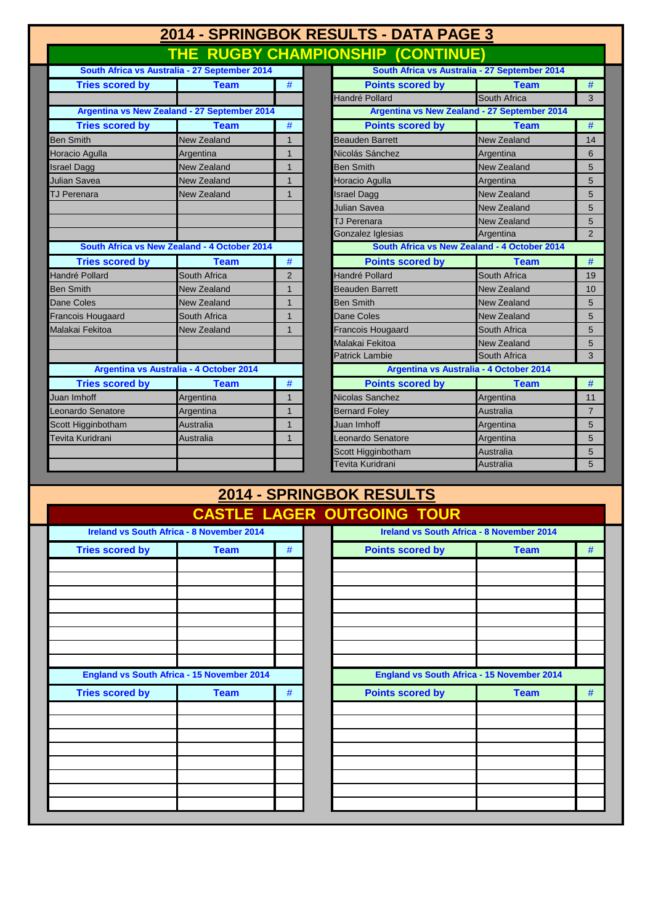|                          |                                               |               | 2014 - SPRINGBOK RESULTS - DATA PAGE 3 |                                               |                |
|--------------------------|-----------------------------------------------|---------------|----------------------------------------|-----------------------------------------------|----------------|
|                          |                                               |               | THE RUGBY CHAMPIONSHIP (CONTINUE)      |                                               |                |
|                          | South Africa vs Australia - 27 September 2014 |               |                                        | South Africa vs Australia - 27 September 2014 |                |
| <b>Tries scored by</b>   | <b>Team</b>                                   | #             | <b>Points scored by</b>                | <b>Team</b>                                   | #              |
|                          |                                               |               | Handré Pollard                         | South Africa                                  | 3              |
|                          | Argentina vs New Zealand - 27 September 2014  |               |                                        | Argentina vs New Zealand - 27 September 2014  |                |
| <b>Tries scored by</b>   | <b>Team</b>                                   | #             | <b>Points scored by</b>                | <b>Team</b>                                   | #              |
| <b>Ben Smith</b>         | <b>New Zealand</b>                            | $\mathbf{1}$  | <b>Beauden Barrett</b>                 | New Zealand                                   | 14             |
| Horacio Agulla           | Argentina                                     | $\mathbf{1}$  | Nicolás Sánchez                        | Argentina                                     | 6              |
| <b>Israel Dagg</b>       | New Zealand                                   | $\mathbf{1}$  | <b>Ben Smith</b>                       | New Zealand                                   | 5              |
| <b>Julian Savea</b>      | New Zealand                                   | $\mathbf{1}$  | Horacio Agulla                         | Argentina                                     | 5              |
| <b>TJ Perenara</b>       | New Zealand                                   | $\mathbf{1}$  | <b>Israel Dagg</b>                     | New Zealand                                   | 5              |
|                          |                                               |               | <b>Julian Savea</b>                    | New Zealand                                   | 5              |
|                          |                                               |               | <b>TJ Perenara</b>                     | New Zealand                                   | 5              |
|                          |                                               |               | Gonzalez Iglesias                      | Argentina                                     | $\mathcal{P}$  |
|                          | South Africa vs New Zealand - 4 October 2014  |               |                                        | South Africa vs New Zealand - 4 October 2014  |                |
| <b>Tries scored by</b>   | <b>Team</b>                                   | #             | <b>Points scored by</b>                | <b>Team</b>                                   | #              |
| Handré Pollard           | South Africa                                  | $\mathcal{P}$ | Handré Pollard                         | South Africa                                  | 19             |
| Ben Smith                | New Zealand                                   | $\mathbf{1}$  | <b>Beauden Barrett</b>                 | New Zealand                                   | 10             |
| Dane Coles               | New Zealand                                   | $\mathbf{1}$  | <b>Ben Smith</b>                       | New Zealand                                   | 5              |
| <b>Francois Hougaard</b> | South Africa                                  | $\mathbf{1}$  | Dane Coles                             | New Zealand                                   | 5              |
| Malakai Fekitoa          | New Zealand                                   | $\mathbf{1}$  | <b>Francois Hougaard</b>               | South Africa                                  | 5              |
|                          |                                               |               | Malakai Fekitoa                        | <b>New Zealand</b>                            | 5              |
|                          |                                               |               | <b>Patrick Lambie</b>                  | South Africa                                  | 3              |
|                          | Argentina vs Australia - 4 October 2014       |               |                                        | Argentina vs Australia - 4 October 2014       |                |
| <b>Tries scored by</b>   | <b>Team</b>                                   | #             | <b>Points scored by</b>                | <b>Team</b>                                   | #              |
| Juan Imhoff              | Argentina                                     | $\mathbf{1}$  | Nicolas Sanchez                        | Argentina                                     | 11             |
| eonardo Senatore         | Argentina                                     | $\mathbf{1}$  | <b>Bernard Foley</b>                   | Australia                                     | $\overline{7}$ |
| Scott Higginbotham       | Australia                                     | $\mathbf{1}$  | Juan Imhoff                            | Argentina                                     | 5              |
| Tevita Kuridrani         | Australia                                     | $\mathbf{1}$  | Leonardo Senatore                      | Argentina                                     | 5              |
|                          |                                               |               | Scott Higginbotham                     | Australia                                     | 5              |
|                          |                                               |               | Tevita Kuridrani                       | <b>Australia</b>                              | 5              |

|                        |                                                   |   | 2014 - SPRINGBOK RESULTS                          |             |
|------------------------|---------------------------------------------------|---|---------------------------------------------------|-------------|
|                        |                                                   |   | <b>CASTLE LAGER OUTGOING TOUR</b>                 |             |
|                        | <b>Ireland vs South Africa - 8 November 2014</b>  |   | <b>Ireland vs South Africa - 8 November 2014</b>  |             |
| <b>Tries scored by</b> | <b>Team</b>                                       | # | <b>Points scored by</b>                           | <b>Team</b> |
|                        |                                                   |   |                                                   |             |
|                        |                                                   |   |                                                   |             |
|                        |                                                   |   |                                                   |             |
|                        |                                                   |   |                                                   |             |
|                        |                                                   |   |                                                   |             |
|                        |                                                   |   |                                                   |             |
|                        | <b>England vs South Africa - 15 November 2014</b> |   | <b>England vs South Africa - 15 November 2014</b> |             |
| <b>Tries scored by</b> | <b>Team</b>                                       | # | <b>Points scored by</b>                           | <b>Team</b> |
|                        |                                                   |   |                                                   |             |
|                        |                                                   |   |                                                   |             |
|                        |                                                   |   |                                                   |             |
|                        |                                                   |   |                                                   |             |
|                        |                                                   |   |                                                   |             |
|                        |                                                   |   |                                                   |             |
|                        |                                                   |   |                                                   |             |

|                                                   |             |   | <b>CASTLE LAGER OUTGOING TOUR</b>                 |             |   |
|---------------------------------------------------|-------------|---|---------------------------------------------------|-------------|---|
| <b>Ireland vs South Africa - 8 November 2014</b>  |             |   | <b>Ireland vs South Africa - 8 November 2014</b>  |             |   |
| <b>Tries scored by</b>                            | <b>Team</b> | # | <b>Points scored by</b>                           | <b>Team</b> | # |
|                                                   |             |   |                                                   |             |   |
|                                                   |             |   |                                                   |             |   |
|                                                   |             |   |                                                   |             |   |
|                                                   |             |   |                                                   |             |   |
|                                                   |             |   |                                                   |             |   |
|                                                   |             |   |                                                   |             |   |
| <b>England vs South Africa - 15 November 2014</b> |             |   | <b>England vs South Africa - 15 November 2014</b> |             |   |
| <b>Tries scored by</b>                            | <b>Team</b> | # | <b>Points scored by</b>                           | <b>Team</b> | # |
|                                                   |             |   |                                                   |             |   |
|                                                   |             |   |                                                   |             |   |
|                                                   |             |   |                                                   |             |   |
|                                                   |             |   |                                                   |             |   |
|                                                   |             |   |                                                   |             |   |
|                                                   |             |   |                                                   |             |   |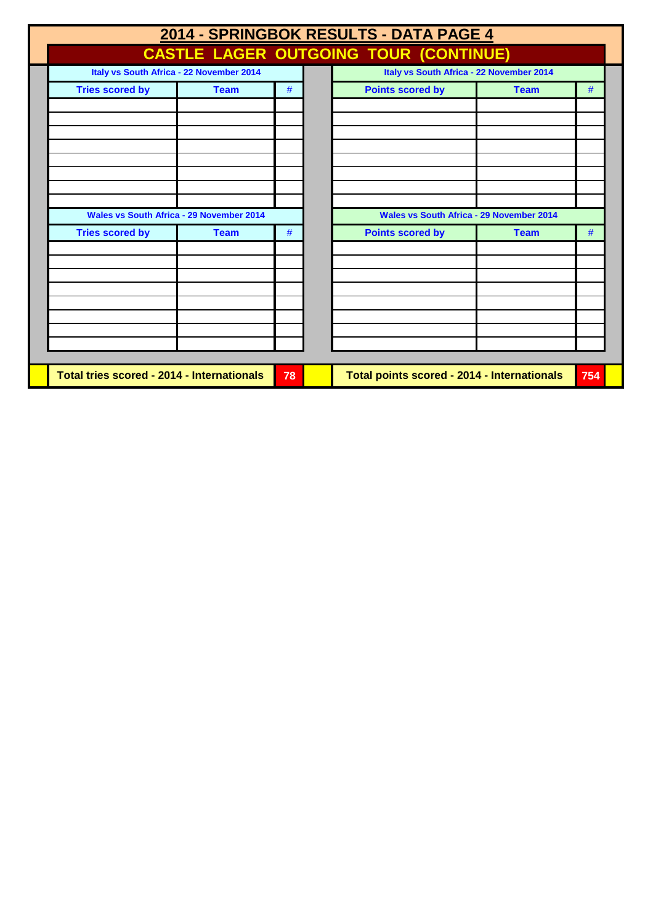|                                                   | 2014 - SPRINGBOK RESULTS - DATA PAGE 4          |    |                                                 |             |     |
|---------------------------------------------------|-------------------------------------------------|----|-------------------------------------------------|-------------|-----|
|                                                   |                                                 |    | <b>CASTLE LAGER OUTGOING TOUR (CONTINUE)</b>    |             |     |
|                                                   | Italy vs South Africa - 22 November 2014        |    | Italy vs South Africa - 22 November 2014        |             |     |
| <b>Tries scored by</b>                            | <b>Team</b>                                     | #  | <b>Points scored by</b>                         | <b>Team</b> | #   |
|                                                   |                                                 |    |                                                 |             |     |
|                                                   |                                                 |    |                                                 |             |     |
|                                                   |                                                 |    |                                                 |             |     |
|                                                   |                                                 |    |                                                 |             |     |
|                                                   |                                                 |    |                                                 |             |     |
|                                                   |                                                 |    |                                                 |             |     |
|                                                   | <b>Wales vs South Africa - 29 November 2014</b> |    | <b>Wales vs South Africa - 29 November 2014</b> |             |     |
| <b>Tries scored by</b>                            | <b>Team</b>                                     | #  | <b>Points scored by</b>                         | <b>Team</b> | #   |
|                                                   |                                                 |    |                                                 |             |     |
|                                                   |                                                 |    |                                                 |             |     |
|                                                   |                                                 |    |                                                 |             |     |
|                                                   |                                                 |    |                                                 |             |     |
|                                                   |                                                 |    |                                                 |             |     |
|                                                   |                                                 |    |                                                 |             |     |
| <b>Total tries scored - 2014 - Internationals</b> |                                                 | 78 | Total points scored - 2014 - Internationals     |             | 754 |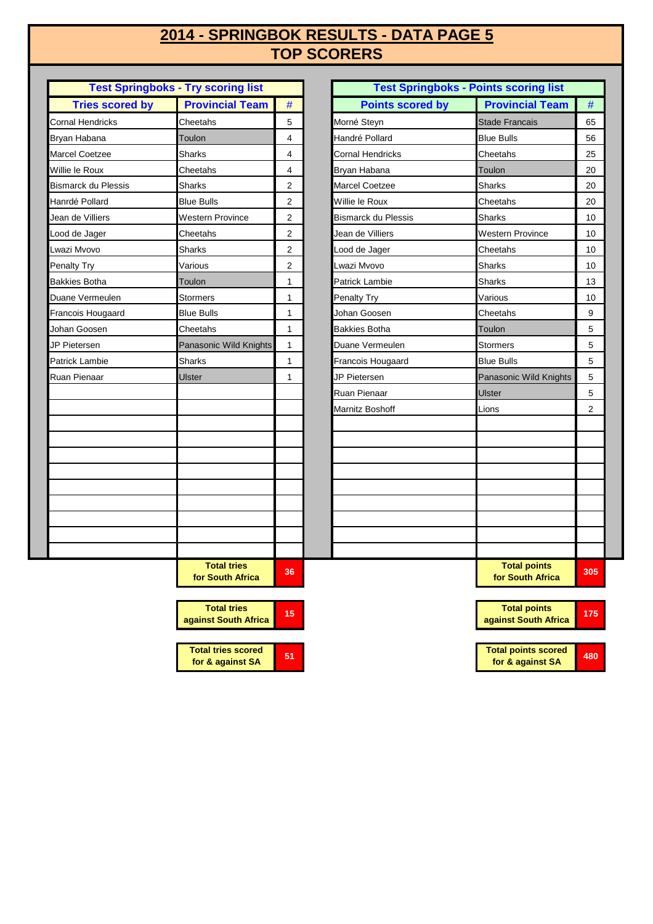## **TOP SCORERS 2014 - SPRINGBOK RESULTS - DATA PAGE 5**

**15**

**51**

**Total tries scored for & against SA**

**Total tries against South Africa**

| <b>Test Springboks - Try scoring list</b> |                                        |                |
|-------------------------------------------|----------------------------------------|----------------|
| <b>Tries scored by</b>                    | <b>Provincial Team</b>                 | #              |
| <b>Cornal Hendricks</b>                   | Cheetahs                               | 5              |
| Bryan Habana                              | Toulon                                 | 4              |
| <b>Marcel Coetzee</b>                     | <b>Sharks</b>                          | 4              |
| Willie le Roux                            | Cheetahs                               | 4              |
| <b>Bismarck du Plessis</b>                | Sharks                                 | 2              |
| Hanrdé Pollard                            | <b>Blue Bulls</b>                      | $\overline{2}$ |
| Jean de Villiers                          | <b>Western Province</b>                | 2              |
| Lood de Jager                             | Cheetahs                               | 2              |
| Lwazi Mvovo                               | <b>Sharks</b>                          | 2              |
| Penalty Try                               | Various                                | $\overline{2}$ |
| Bakkies Botha                             | Toulon                                 | 1              |
| Duane Vermeulen                           | Stormers                               | 1              |
| Francois Hougaard                         | <b>Blue Bulls</b>                      | 1              |
| Johan Goosen                              | Cheetahs                               | 1              |
| JP Pietersen                              | Panasonic Wild Knights                 | 1              |
| Patrick Lambie                            | Sharks                                 | 1              |
| Ruan Pienaar                              | <b>Ulster</b>                          | 1              |
|                                           |                                        |                |
|                                           |                                        |                |
|                                           |                                        |                |
|                                           |                                        |                |
|                                           |                                        |                |
|                                           |                                        |                |
|                                           |                                        |                |
|                                           |                                        |                |
|                                           |                                        |                |
|                                           |                                        |                |
|                                           |                                        |                |
|                                           | <b>Total tries</b><br>for South Africa | 36             |

|                            | <b>Test Springboks - Try scoring list</b> |                |                            | <b>Test Springboks - Points scoring list</b> |  |
|----------------------------|-------------------------------------------|----------------|----------------------------|----------------------------------------------|--|
| <b>Tries scored by</b>     | <b>Provincial Team</b>                    | #              | <b>Points scored by</b>    | <b>Provincial Team</b>                       |  |
| <b>Cornal Hendricks</b>    | Cheetahs                                  | 5              | Morné Steyn                | <b>Stade Francais</b>                        |  |
| Bryan Habana               | Toulon                                    | 4              | Handré Pollard             | <b>Blue Bulls</b>                            |  |
| <b>Marcel Coetzee</b>      | Sharks                                    | 4              | <b>Cornal Hendricks</b>    | Cheetahs                                     |  |
| Willie le Roux             | Cheetahs                                  | 4              | Bryan Habana               | Toulon                                       |  |
| <b>Bismarck du Plessis</b> | Sharks                                    | 2              | <b>Marcel Coetzee</b>      | Sharks                                       |  |
| Hanrdé Pollard             | <b>Blue Bulls</b>                         | 2              | Willie le Roux             | Cheetahs                                     |  |
| Jean de Villiers           | Western Province                          | 2              | <b>Bismarck du Plessis</b> | Sharks                                       |  |
| Lood de Jager              | Cheetahs                                  | 2              | Jean de Villiers           | <b>Western Province</b>                      |  |
| Lwazi Mvovo                | Sharks                                    | $\overline{2}$ | Lood de Jager              | Cheetahs                                     |  |
| Penalty Try                | Various                                   | $\overline{2}$ | Lwazi Mvovo                | <b>Sharks</b>                                |  |
| <b>Bakkies Botha</b>       | Toulon                                    | 1              | Patrick Lambie             | <b>Sharks</b>                                |  |
| Duane Vermeulen            | Stormers                                  | 1              | Penalty Try                | Various                                      |  |
| Francois Hougaard          | <b>Blue Bulls</b>                         | 1              | Johan Goosen               | Cheetahs                                     |  |
| Johan Goosen               | Cheetahs                                  | 1              | <b>Bakkies Botha</b>       | Toulon                                       |  |
| JP Pietersen               | Panasonic Wild Knights                    | 1              | Duane Vermeulen            | Stormers                                     |  |
| <b>Patrick Lambie</b>      | <b>Sharks</b>                             | 1              | Francois Hougaard          | <b>Blue Bulls</b>                            |  |
| Ruan Pienaar               | Ulster                                    | 1              | JP Pietersen               | Panasonic Wild Knights                       |  |
|                            |                                           |                | Ruan Pienaar               | Ulster                                       |  |
|                            |                                           |                | Marnitz Boshoff            | Lions                                        |  |
|                            |                                           |                |                            |                                              |  |
|                            |                                           |                |                            |                                              |  |
|                            |                                           |                |                            |                                              |  |
|                            |                                           |                |                            |                                              |  |
|                            |                                           |                |                            |                                              |  |
|                            |                                           |                |                            |                                              |  |
|                            |                                           |                |                            |                                              |  |
|                            |                                           |                |                            |                                              |  |
|                            |                                           |                |                            |                                              |  |
|                            | <b>Total tries</b><br>for South Africa    | 36             |                            | <b>Total points</b><br>for South Africa      |  |

| <b>Total points</b><br>against South Africa    | 175 |
|------------------------------------------------|-----|
| <b>Total points scored</b><br>for & against SA | 480 |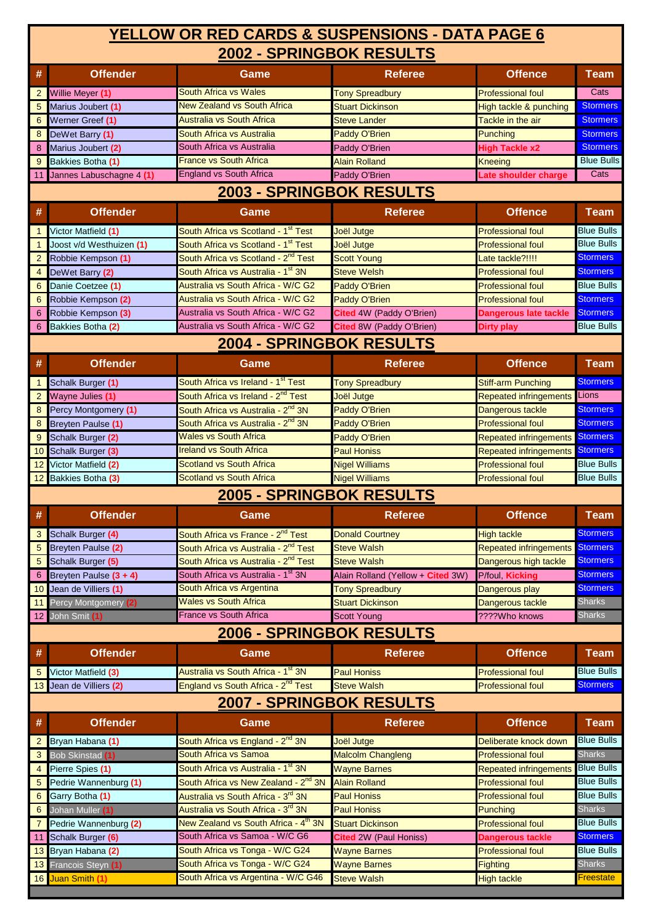### **YELLOW OR RED CARDS & SUSPENSIONS - DATA PAGE 6 2002 - SPRINGBOK RESULTS**

|                | <u>ZUVZ - JERINUDUR REJULIJ</u> |                                                  |                                   |                                        |                   |  |  |  |  |
|----------------|---------------------------------|--------------------------------------------------|-----------------------------------|----------------------------------------|-------------------|--|--|--|--|
| #              | <b>Offender</b>                 | Game                                             | <b>Referee</b>                    | <b>Offence</b>                         | <b>Team</b>       |  |  |  |  |
| $\overline{2}$ | Willie Meyer (1)                | <b>South Africa vs Wales</b>                     | <b>Tony Spreadbury</b>            | <b>Professional foul</b>               | Cats              |  |  |  |  |
| 5              | Marius Joubert (1)              | <b>New Zealand vs South Africa</b>               | <b>Stuart Dickinson</b>           | High tackle & punching                 | <b>Stormers</b>   |  |  |  |  |
| 6              | Werner Greef (1)                | <b>Australia vs South Africa</b>                 | <b>Steve Lander</b>               | Tackle in the air                      | <b>Stormers</b>   |  |  |  |  |
| 8              | DeWet Barry (1)                 | South Africa vs Australia                        | Paddy O'Brien                     | Punching                               | <b>Stormers</b>   |  |  |  |  |
| 8              | Marius Joubert (2)              | South Africa vs Australia                        | Paddy O'Brien                     | <b>High Tackle x2</b>                  | <b>Stormers</b>   |  |  |  |  |
| 9              | Bakkies Botha (1)               | <b>France vs South Africa</b>                    | <b>Alain Rolland</b>              | <b>Kneeing</b>                         | <b>Blue Bulls</b> |  |  |  |  |
| 11             | Jannes Labuschagne 4 (1)        | <b>England vs South Africa</b>                   | Paddy O'Brien                     | Late shoulder charge                   | Cats              |  |  |  |  |
|                |                                 | 2003 - SPRINGBOK RESULTS                         |                                   |                                        |                   |  |  |  |  |
| #              | <b>Offender</b>                 | Game                                             | <b>Referee</b>                    | <b>Offence</b>                         | <b>Team</b>       |  |  |  |  |
| $\mathbf{1}$   | Victor Matfield (1)             | South Africa vs Scotland - 1 <sup>st</sup> Test  | Joël Jutge                        | <b>Professional foul</b>               | <b>Blue Bulls</b> |  |  |  |  |
| $\mathbf{1}$   | Joost v/d Westhuizen (1)        | South Africa vs Scotland - 1 <sup>st</sup> Test  | Joël Jutge                        | <b>Professional foul</b>               | <b>Blue Bulls</b> |  |  |  |  |
| $\overline{2}$ | Robbie Kempson (1)              | South Africa vs Scotland - 2 <sup>nd</sup> Test  | <b>Scott Young</b>                | Late tackle?!!!!                       | <b>Stormers</b>   |  |  |  |  |
| $\overline{4}$ | DeWet Barry (2)                 | South Africa vs Australia - 1 <sup>st</sup> 3N   | Steve Welsh                       | <b>Professional foul</b>               | <b>Stormers</b>   |  |  |  |  |
| 6              | Danie Coetzee (1)               | Australia vs South Africa - W/C G2               | <b>Paddy O'Brien</b>              | <b>Professional foul</b>               | <b>Blue Bulls</b> |  |  |  |  |
| 6              | Robbie Kempson (2)              | Australia vs South Africa - W/C G2               | <b>Paddy O'Brien</b>              | <b>Professional foul</b>               | <b>Stormers</b>   |  |  |  |  |
| 6              | Robbie Kempson (3)              | Australia vs South Africa - W/C G2               | Cited 4W (Paddy O'Brien)          | <b>Dangerous late tackle</b>           | <b>Stormers</b>   |  |  |  |  |
| 6              | Bakkies Botha (2)               | Australia vs South Africa - W/C G2               | Cited 8W (Paddy O'Brien)          | <b>Dirty play</b>                      | <b>Blue Bulls</b> |  |  |  |  |
|                | <b>2004 - SPRINGBOK RESULTS</b> |                                                  |                                   |                                        |                   |  |  |  |  |
| #              | <b>Offender</b>                 | Game                                             | <b>Referee</b>                    | <b>Offence</b>                         | <b>Team</b>       |  |  |  |  |
| $\mathbf{1}$   | Schalk Burger (1)               | South Africa vs Ireland - 1 <sup>st</sup> Test   | <b>Tony Spreadbury</b>            | <b>Stiff-arm Punching</b>              | <b>Stormers</b>   |  |  |  |  |
| $\overline{2}$ | Wayne Julies (1)                | South Africa vs Ireland - 2 <sup>nd</sup> Test   | Joël Jutge                        | Repeated infringements                 | Lions             |  |  |  |  |
| 8              | Percy Montgomery (1)            | South Africa vs Australia - 2 <sup>nd</sup> 3N   | <b>Paddy O'Brien</b>              | Dangerous tackle                       | <b>Stormers</b>   |  |  |  |  |
| 8              | <b>Breyten Paulse (1)</b>       | South Africa vs Australia - 2 <sup>nd</sup> 3N   | Paddy O'Brien                     | <b>Professional foul</b>               | <b>Stormers</b>   |  |  |  |  |
| 9              | Schalk Burger (2)               | <b>Wales vs South Africa</b>                     | <b>Paddy O'Brien</b>              | <b>Repeated infringements</b>          | <b>Stormers</b>   |  |  |  |  |
| 10             | Schalk Burger (3)               | <b>Ireland vs South Africa</b>                   | Paul Honiss                       | <b>Repeated infringements</b>          | <b>Stormers</b>   |  |  |  |  |
| 12             | Victor Matfield (2)             | <b>Scotland vs South Africa</b>                  | <b>Nigel Williams</b>             | <b>Professional foul</b>               | <b>Blue Bulls</b> |  |  |  |  |
|                | 12 Bakkies Botha (3)            | <b>Scotland vs South Africa</b>                  | <b>Nigel Williams</b>             | <b>Professional foul</b>               | <b>Blue Bulls</b> |  |  |  |  |
|                |                                 | 2005 - SPRINGBOK RESULTS                         |                                   |                                        |                   |  |  |  |  |
| #              | <b>Offender</b>                 | Game                                             | <b>Referee</b>                    | <b>Offence</b>                         | <b>Team</b>       |  |  |  |  |
| 3              | Schalk Burger (4)               | South Africa vs France - 2 <sup>nd</sup> Test    | <b>Donald Courtney</b>            | <b>High tackle</b>                     | <b>Stormers</b>   |  |  |  |  |
|                | <b>Breyten Paulse (2)</b>       | South Africa vs Australia - 2 <sup>nd</sup> Test | <b>Steve Walsh</b>                | <b>Repeated infringements Stormers</b> |                   |  |  |  |  |
|                | 5 Schalk Burger (5)             | South Africa vs Australia - 2 <sup>nd</sup> Test | <b>Steve Walsh</b>                | Dangerous high tackle                  | <b>Stormers</b>   |  |  |  |  |
| 6              | Breyten Paulse (3 + 4)          | South Africa vs Australia - 1 <sup>st</sup> 3N   | Alain Rolland (Yellow + Cited 3W) | P/foul, Kicking                        | <b>Stormers</b>   |  |  |  |  |
|                | 10 Jean de Villiers (1)         | South Africa vs Argentina                        | <b>Tony Spreadbury</b>            | Dangerous play                         | <b>Stormers</b>   |  |  |  |  |
|                | 11 Percy Montgomery (2)         | <b>Wales vs South Africa</b>                     | <b>Stuart Dickinson</b>           | Dangerous tackle                       | <b>Sharks</b>     |  |  |  |  |
|                | 12 John Smit (1)                | <b>France vs South Africa</b>                    | <b>Scott Young</b>                | ????Who knows                          | <b>Sharks</b>     |  |  |  |  |
|                |                                 | 2006 - SPRINGBOK RESULTS                         |                                   |                                        |                   |  |  |  |  |
| #              | <b>Offender</b>                 | Game                                             | <b>Referee</b>                    | <b>Offence</b>                         | <b>Team</b>       |  |  |  |  |
| 5              | Victor Matfield (3)             | Australia vs South Africa - 1 <sup>st</sup> 3N   | <b>Paul Honiss</b>                | <b>Professional foul</b>               | <b>Blue Bulls</b> |  |  |  |  |
|                | 13 Jean de Villiers (2)         | England vs South Africa - 2 <sup>nd</sup> Test   | <b>Steve Walsh</b>                | <b>Professional foul</b>               | <b>Stormers</b>   |  |  |  |  |
|                |                                 | 2007 - SPRINGBOK RESULTS                         |                                   |                                        |                   |  |  |  |  |
| #              | <b>Offender</b>                 | Game                                             | <b>Referee</b>                    | <b>Offence</b>                         | <b>Team</b>       |  |  |  |  |
| $\overline{2}$ | Bryan Habana (1)                | South Africa vs England - 2 <sup>nd</sup> 3N     | Joël Jutge                        | Deliberate knock down                  | <b>Blue Bulls</b> |  |  |  |  |
|                | 3 Bob Skinstad (1)              | South Africa vs Samoa                            | <b>Malcolm Changleng</b>          | <b>Professional foul</b>               | <b>Sharks</b>     |  |  |  |  |
| 4              | Pierre Spies (1)                | South Africa vs Australia - 1 <sup>st</sup> 3N   | <b>Wayne Barnes</b>               | <b>Repeated infringements</b>          | <b>Blue Bulls</b> |  |  |  |  |
| 5              | Pedrie Wannenburg (1)           | South Africa vs New Zealand - 2 <sup>nd</sup> 3N | <b>Alain Rolland</b>              | <b>Professional foul</b>               | <b>Blue Bulls</b> |  |  |  |  |
| 6              | Garry Botha (1)                 | Australia vs South Africa - 3 <sup>rd</sup> 3N   | <b>Paul Honiss</b>                | <b>Professional foul</b>               | <b>Blue Bulls</b> |  |  |  |  |
| 6              | Johan Muller (1)                | Australia vs South Africa - 3 <sup>rd</sup> 3N   | <b>Paul Honiss</b>                | <b>Punching</b>                        | <b>Sharks</b>     |  |  |  |  |
| 7              | Pedrie Wannenburg (2)           | New Zealand vs South Africa - 4 <sup>th</sup> 3N | <b>Stuart Dickinson</b>           | <b>Professional foul</b>               | <b>Blue Bulls</b> |  |  |  |  |
| 11             | Schalk Burger (6)               | South Africa vs Samoa - W/C G6                   | Cited 2W (Paul Honiss)            | <b>Dangerous tackle</b>                | <b>Stormers</b>   |  |  |  |  |
|                | 13 Bryan Habana (2)             | South Africa vs Tonga - W/C G24                  | <b>Wayne Barnes</b>               | <b>Professional foul</b>               | <b>Blue Bulls</b> |  |  |  |  |
|                |                                 |                                                  |                                   |                                        |                   |  |  |  |  |
|                | 13 Francois Steyn (1)           | South Africa vs Tonga - W/C G24                  | <b>Wayne Barnes</b>               | <b>Fighting</b>                        | <b>Sharks</b>     |  |  |  |  |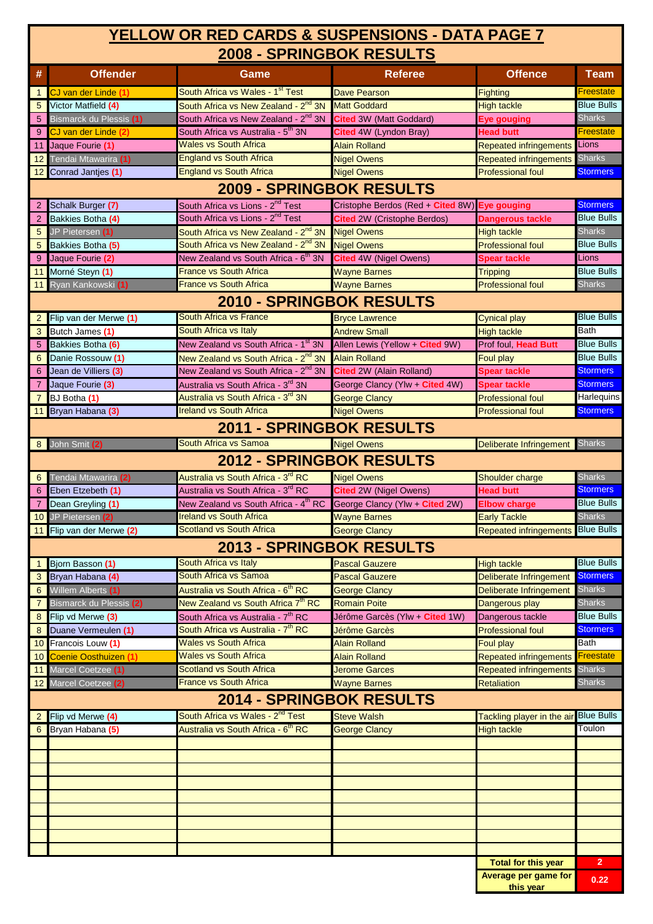#### **2008 - SPRINGBOK RESULTS YELLOW OR RED CARDS & SUSPENSIONS - DATA PAGE 7**

| #                        | <b>Offender</b>              | Game                                             | <u>U KINUDUK KEUUL 10</u><br><b>Referee</b> | <b>Offence</b>                               | <b>Team</b>       |  |  |  |
|--------------------------|------------------------------|--------------------------------------------------|---------------------------------------------|----------------------------------------------|-------------------|--|--|--|
| $\mathbf{1}$             | CJ van der Linde (1)         | South Africa vs Wales - 1 <sup>st</sup> Test     | <b>Dave Pearson</b>                         | <b>Fighting</b>                              | Freestate         |  |  |  |
| 5                        | Victor Matfield (4)          | South Africa vs New Zealand - 2 <sup>nd</sup> 3N | <b>Matt Goddard</b>                         | <b>High tackle</b>                           | <b>Blue Bulls</b> |  |  |  |
| 5                        | Bismarck du Plessis (1)      | South Africa vs New Zealand - 2 <sup>nd</sup> 3N | Cited 3W (Matt Goddard)                     | Eye gouging                                  | <u>Sharks</u>     |  |  |  |
| 9                        | CJ van der Linde             | South Africa vs Australia - 5 <sup>th</sup> 3N   | Cited 4W (Lyndon Bray)                      | <b>Head butt</b>                             | Freestate         |  |  |  |
| 11                       | Jaque Fourie (1)             | Wales vs South Africa                            | <b>Alain Rolland</b>                        | <b>Repeated infringements</b>                | Lions             |  |  |  |
| 12                       | Tendai Mtawarira (1)         | <b>England vs South Africa</b>                   | <b>Nigel Owens</b>                          | <b>Repeated infringements</b>                | <b>Sharks</b>     |  |  |  |
| 12                       | Conrad Jantjes (1)           | <b>England vs South Africa</b>                   | <b>Nigel Owens</b>                          | <b>Professional foul</b>                     | <b>Stormers</b>   |  |  |  |
|                          | 2009 - SPRINGBOK RESULTS     |                                                  |                                             |                                              |                   |  |  |  |
| 2                        | Schalk Burger (7)            | South Africa vs Lions - 2 <sup>nd</sup> Test     | Cristophe Berdos (Red + Cited 8W)           | <b>Eye gouging</b>                           | <b>Stormers</b>   |  |  |  |
| $\overline{2}$           | Bakkies Botha (4)            | South Africa vs Lions - 2 <sup>nd</sup> Test     | <b>Cited</b> 2W (Cristophe Berdos)          | Dangerous tackle                             | <b>Blue Bulls</b> |  |  |  |
| 5                        | JP Pietersen (1)             | South Africa vs New Zealand - 2 <sup>nd</sup> 3N | <b>Nigel Owens</b>                          | <b>High tackle</b>                           | <b>Sharks</b>     |  |  |  |
| 5                        | Bakkies Botha (5)            | South Africa vs New Zealand - 2 <sup>nd</sup> 3N | <b>Nigel Owens</b>                          | <b>Professional foul</b>                     | <b>Blue Bulls</b> |  |  |  |
| 9                        | Jaque Fourie (2)             | New Zealand vs South Africa - 6 <sup>th</sup> 3N | <b>Cited 4W (Nigel Owens)</b>               | <b>Spear tackle</b>                          | Lions             |  |  |  |
| 11                       | Morné Steyn (1)              | <b>France vs South Africa</b>                    | <b>Wayne Barnes</b>                         | <b>Tripping</b>                              | <b>Blue Bulls</b> |  |  |  |
| 11                       | Ryan Kankowski (1)           | <b>France vs South Africa</b>                    | <b>Wayne Barnes</b>                         | <b>Professional foul</b>                     | <b>Sharks</b>     |  |  |  |
|                          |                              | <b>2010 - SPRINGBOK RESULTS</b>                  |                                             |                                              |                   |  |  |  |
| $\overline{2}$           | Flip van der Merwe (1)       | South Africa vs France                           | <b>Bryce Lawrence</b>                       | <b>Cynical play</b>                          | <b>Blue Bulls</b> |  |  |  |
| 3                        | Butch James (1)              | South Africa vs Italy                            | <b>Andrew Small</b>                         | <b>High tackle</b>                           | Bath              |  |  |  |
| 5                        | Bakkies Botha (6)            | New Zealand vs South Africa - 1 <sup>st</sup> 3N | Allen Lewis (Yellow + Cited 9W)             | Prof foul, Head Butt                         | <b>Blue Bulls</b> |  |  |  |
| 6                        | Danie Rossouw (1)            | New Zealand vs South Africa - 2 <sup>nd</sup> 3N | <b>Alain Rolland</b>                        | Foul play                                    | <b>Blue Bulls</b> |  |  |  |
| 6                        | Jean de Villiers (3)         | New Zealand vs South Africa - 2 <sup>nd</sup> 3N | <b>Cited 2W (Alain Rolland)</b>             | <b>Spear tackle</b>                          | <b>Stormers</b>   |  |  |  |
| 7                        | Jaque Fourie (3)             | Australia vs South Africa - 3rd 3N               | George Clancy (Ylw + Cited 4W)              | Spear tackle                                 | <b>Stormers</b>   |  |  |  |
| $\overline{7}$           | BJ Botha (1)                 | Australia vs South Africa - 3 <sup>rd</sup> 3N   | <b>George Clancy</b>                        | <b>Professional foul</b>                     | Harlequins        |  |  |  |
|                          | 11 Bryan Habana (3)          | <b>Ireland vs South Africa</b>                   | <b>Nigel Owens</b>                          | <b>Professional foul</b>                     | <b>Stormers</b>   |  |  |  |
|                          |                              | <b>2011 - SPRINGBOK RESULTS</b>                  |                                             |                                              |                   |  |  |  |
|                          | 8 John Smit (2)              | South Africa vs Samoa                            | <b>Nigel Owens</b>                          | Deliberate Infringement                      | <b>Sharks</b>     |  |  |  |
|                          |                              | <b>2012 - SPRINGBOK RESULTS</b>                  |                                             |                                              |                   |  |  |  |
| 6                        | Tendai Mtawarira (2)         | Australia vs South Africa - 3 <sup>rd</sup> RC   | <b>Nigel Owens</b>                          | Shoulder charge                              | <b>Sharks</b>     |  |  |  |
| 6                        | Eben Etzebeth (1)            | Australia vs South Africa - 3rd RC               | <b>Cited</b> 2W (Nigel Owens)               | <b>Head butt</b>                             | <b>Stormers</b>   |  |  |  |
| 7                        | Dean Greyling (1)            | New Zealand vs South Africa - 4 <sup>th</sup> RC | George Clancy (Ylw + Cited 2W)              | <b>Elbow charge</b>                          | <b>Blue Bulls</b> |  |  |  |
|                          | 10 JP Pietersen (2)          | <b>Ireland vs South Africa</b>                   | <b>Wayne Barnes</b>                         | <b>Early Tackle</b>                          | <b>Sharks</b>     |  |  |  |
| 11                       | Flip van der Merwe (2)       | <b>Scotland vs South Africa</b>                  | <b>George Clancy</b>                        | <b>Repeated infringements</b> Blue Bulls     |                   |  |  |  |
|                          |                              | <b>2013 - SPRINGBOK RESULTS</b>                  |                                             |                                              |                   |  |  |  |
|                          | 1 Bjorn Basson (1)           | South Africa vs Italy                            | <b>Pascal Gauzere</b>                       | <b>High tackle</b>                           | <b>Blue Bulls</b> |  |  |  |
| 3                        | Bryan Habana (4)             | South Africa vs Samoa                            | <b>Pascal Gauzere</b>                       | <b>Deliberate Infringement</b>               | <b>Stormers</b>   |  |  |  |
| 6                        | Willem Alberts (1)           | Australia vs South Africa - 6 <sup>th</sup> RC   | <b>George Clancy</b>                        | Deliberate Infringement                      | <b>Sharks</b>     |  |  |  |
| $\overline{7}$           | Bismarck du Plessis (2)      | New Zealand vs South Africa 7 <sup>th</sup> RC   | <b>Romain Poite</b>                         | Dangerous play                               | <b>Sharks</b>     |  |  |  |
| 8                        | Flip vd Merwe (3)            | South Africa vs Australia - 7 <sup>th</sup> RC   | Jérôme Garcès (Ylw + Cited 1W)              | Dangerous tackle                             | <b>Blue Bulls</b> |  |  |  |
| 8                        | Duane Vermeulen (1)          | South Africa vs Australia - 7 <sup>th</sup> RC   | Jérôme Garcès                               | <b>Professional foul</b>                     | <b>Stormers</b>   |  |  |  |
|                          | 10 Francois Louw (1)         | <b>Wales vs South Africa</b>                     | <b>Alain Rolland</b>                        | Foul play                                    | <b>Bath</b>       |  |  |  |
| 10 <sup>1</sup>          | <b>Coenie Oosthuizen (1)</b> | <b>Wales vs South Africa</b>                     | <b>Alain Rolland</b>                        | <b>Repeated infringements</b>                | <b>Freestate</b>  |  |  |  |
| 11                       | Marcel Coetzee (1)           | <b>Scotland vs South Africa</b>                  | <b>Jerome Garces</b>                        | <b>Repeated infringements</b>                | <b>Sharks</b>     |  |  |  |
| 12 <sub>1</sub>          | Marcel Coetzee (2)           | <b>France vs South Africa</b>                    | <b>Wayne Barnes</b>                         | <b>Retaliation</b>                           | <b>Sharks</b>     |  |  |  |
| 2014 - SPRINGBOK RESULTS |                              |                                                  |                                             |                                              |                   |  |  |  |
| 2                        | Flip vd Merwe (4)            | South Africa vs Wales - 2 <sup>nd</sup> Test     | <b>Steve Walsh</b>                          | <b>Tackling player in the air Blue Bulls</b> |                   |  |  |  |
| 6                        | Bryan Habana (5)             | Australia vs South Africa - 6 <sup>th</sup> RC   | <b>George Clancy</b>                        | <b>High tackle</b>                           | Toulon            |  |  |  |
|                          |                              |                                                  |                                             |                                              |                   |  |  |  |
|                          |                              |                                                  |                                             |                                              |                   |  |  |  |
|                          |                              |                                                  |                                             |                                              |                   |  |  |  |
|                          |                              |                                                  |                                             |                                              |                   |  |  |  |
|                          |                              |                                                  |                                             |                                              |                   |  |  |  |
|                          |                              |                                                  |                                             |                                              |                   |  |  |  |
|                          |                              |                                                  |                                             |                                              |                   |  |  |  |
|                          |                              |                                                  |                                             |                                              |                   |  |  |  |
|                          |                              |                                                  |                                             |                                              |                   |  |  |  |
|                          |                              |                                                  |                                             | <b>Total for this year</b>                   | $\overline{2}$    |  |  |  |
|                          |                              |                                                  |                                             | <b>Average per game for</b><br>this year     | 0.22              |  |  |  |